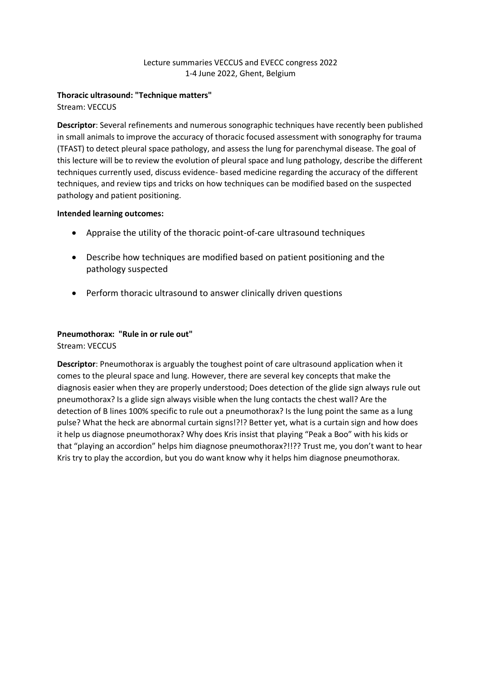#### Lecture summaries VECCUS and EVECC congress 2022 1-4 June 2022, Ghent, Belgium

## **Thoracic ultrasound: "Technique matters"**

Stream: VECCUS

**Descriptor**: Several refinements and numerous sonographic techniques have recently been published in small animals to improve the accuracy of thoracic focused assessment with sonography for trauma (TFAST) to detect pleural space pathology, and assess the lung for parenchymal disease. The goal of this lecture will be to review the evolution of pleural space and lung pathology, describe the different techniques currently used, discuss evidence- based medicine regarding the accuracy of the different techniques, and review tips and tricks on how techniques can be modified based on the suspected pathology and patient positioning.

#### **Intended learning outcomes:**

- Appraise the utility of the thoracic point-of-care ultrasound techniques
- Describe how techniques are modified based on patient positioning and the pathology suspected
- Perform thoracic ultrasound to answer clinically driven questions

# **Pneumothorax: "Rule in or rule out"**

Stream: VECCUS

**Descriptor**: Pneumothorax is arguably the toughest point of care ultrasound application when it comes to the pleural space and lung. However, there are several key concepts that make the diagnosis easier when they are properly understood; Does detection of the glide sign always rule out pneumothorax? Is a glide sign always visible when the lung contacts the chest wall? Are the detection of B lines 100% specific to rule out a pneumothorax? Is the lung point the same as a lung pulse? What the heck are abnormal curtain signs!?!? Better yet, what is a curtain sign and how does it help us diagnose pneumothorax? Why does Kris insist that playing "Peak a Boo" with his kids or that "playing an accordion" helps him diagnose pneumothorax?!!?? Trust me, you don't want to hear Kris try to play the accordion, but you do want know why it helps him diagnose pneumothorax.